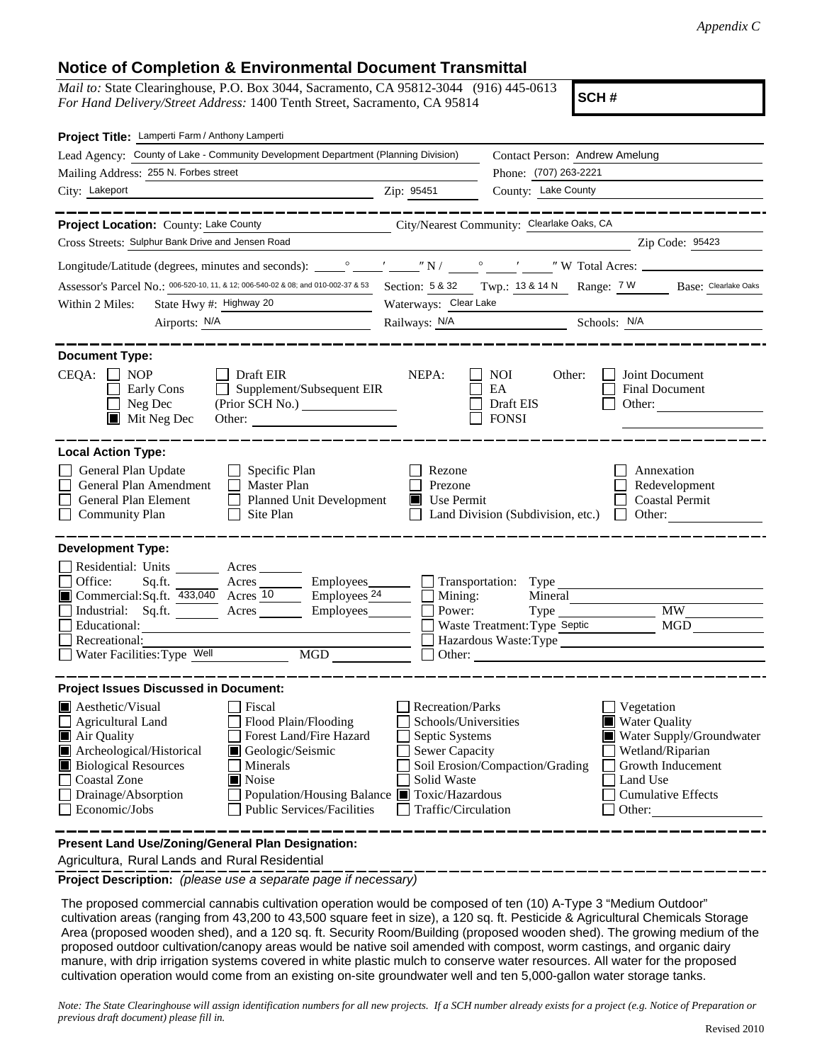## **Notice of Completion & Environmental Document Transmittal**

*Mail to:* State Clearinghouse, P.O. Box 3044, Sacramento, CA 95812-3044 (916) 445-0613 *For Hand Delivery/Street Address:* 1400 Tenth Street, Sacramento, CA 95814

**SCH #**

| Project Title: Lamperti Farm / Anthony Lamperti                                                                                                                                                                                                                                                                                                                                 |                                                                                                                                  |                                                                                                                                   |                                                                                                                                                            |  |  |
|---------------------------------------------------------------------------------------------------------------------------------------------------------------------------------------------------------------------------------------------------------------------------------------------------------------------------------------------------------------------------------|----------------------------------------------------------------------------------------------------------------------------------|-----------------------------------------------------------------------------------------------------------------------------------|------------------------------------------------------------------------------------------------------------------------------------------------------------|--|--|
| Lead Agency: County of Lake - Community Development Department (Planning Division)                                                                                                                                                                                                                                                                                              |                                                                                                                                  | Contact Person: Andrew Amelung                                                                                                    |                                                                                                                                                            |  |  |
| Mailing Address: 255 N. Forbes street                                                                                                                                                                                                                                                                                                                                           |                                                                                                                                  | Phone: (707) 263-2221                                                                                                             |                                                                                                                                                            |  |  |
| City: Lakeport                                                                                                                                                                                                                                                                                                                                                                  | Zip: 95451                                                                                                                       | County: Lake County                                                                                                               |                                                                                                                                                            |  |  |
| ----------                                                                                                                                                                                                                                                                                                                                                                      |                                                                                                                                  |                                                                                                                                   | __________                                                                                                                                                 |  |  |
| Project Location: County: Lake County<br><u> 1990 - Johann Barbara, politik eta politik eta politik eta politik eta politik eta politik eta politik eta p</u>                                                                                                                                                                                                                   |                                                                                                                                  | City/Nearest Community: Clearlake Oaks, CA                                                                                        |                                                                                                                                                            |  |  |
| Cross Streets: Sulphur Bank Drive and Jensen Road                                                                                                                                                                                                                                                                                                                               |                                                                                                                                  |                                                                                                                                   | Zip Code: 95423                                                                                                                                            |  |  |
|                                                                                                                                                                                                                                                                                                                                                                                 |                                                                                                                                  |                                                                                                                                   |                                                                                                                                                            |  |  |
| Assessor's Parcel No.: 006-520-10, 11, & 12; 006-540-02 & 08; and 010-002-37 & 53 Section: 5 & 32 Twp.: 13 & 14 N Range: 7 W Base: Clearlake Oaks                                                                                                                                                                                                                               |                                                                                                                                  |                                                                                                                                   |                                                                                                                                                            |  |  |
| State Hwy #: Highway 20<br>Within 2 Miles:                                                                                                                                                                                                                                                                                                                                      | Waterways: Clear Lake                                                                                                            |                                                                                                                                   |                                                                                                                                                            |  |  |
| Airports: N/A                                                                                                                                                                                                                                                                                                                                                                   | Railways: N/A Schools: N/A                                                                                                       |                                                                                                                                   |                                                                                                                                                            |  |  |
| <b>Document Type:</b><br>$CEQA: \Box NP$<br>$\Box$ Draft EIR<br>Supplement/Subsequent EIR<br>Early Cons<br>$\perp$<br>Neg Dec<br>(Prior SCH No.)<br>Mit Neg Dec<br>Other:                                                                                                                                                                                                       | NEPA:                                                                                                                            | <b>NOI</b><br>Other:<br>EA<br>Draft EIS<br><b>FONSI</b>                                                                           | Joint Document<br><b>Final Document</b><br>Other: $\qquad \qquad$                                                                                          |  |  |
| <b>Local Action Type:</b><br>General Plan Update<br>$\Box$ Specific Plan<br>General Plan Amendment<br>Master Plan<br>General Plan Element<br>Planned Unit Development<br><b>Community Plan</b><br>Site Plan<br>$\perp$                                                                                                                                                          | Rezone<br>Prezone<br>Use Permit                                                                                                  | Land Division (Subdivision, etc.)                                                                                                 | Annexation<br>Redevelopment<br><b>Coastal Permit</b><br>$\Box$ Other:                                                                                      |  |  |
| <b>Development Type:</b>                                                                                                                                                                                                                                                                                                                                                        |                                                                                                                                  |                                                                                                                                   |                                                                                                                                                            |  |  |
| Residential: Units ________ Acres _______<br>Office:<br>Sq.ft. _________ Acres ___________ Employees________<br>Commercial:Sq.ft. 433,040 Acres 10<br>$\equiv$ Employees <sup>24</sup><br>Employees_______<br>Industrial: Sq.ft.<br>Acres<br>Educational:<br>Recreational:<br>MGD<br>Water Facilities: Type Well                                                                | Mining:<br>Power:                                                                                                                | Transportation: Type<br>Mineral<br>$Type$ <sub>__</sub><br>Waste Treatment: Type Septic<br>Hazardous Waste: Type<br>$\Box$ Other: | <b>MW</b><br><b>MGD</b>                                                                                                                                    |  |  |
| <b>Project Issues Discussed in Document:</b>                                                                                                                                                                                                                                                                                                                                    |                                                                                                                                  |                                                                                                                                   |                                                                                                                                                            |  |  |
| Fiscal<br><b>A</b> esthetic/Visual<br>Flood Plain/Flooding<br>Agricultural Land<br>Forest Land/Fire Hazard<br>Air Quality<br>Archeological/Historical<br>Geologic/Seismic<br><b>Biological Resources</b><br>Minerals<br><b>Coastal Zone</b><br>Noise<br>Drainage/Absorption<br>Population/Housing Balance Toxic/Hazardous<br>Economic/Jobs<br><b>Public Services/Facilities</b> | <b>Recreation/Parks</b><br>Schools/Universities<br>Septic Systems<br><b>Sewer Capacity</b><br>Solid Waste<br>Traffic/Circulation | Soil Erosion/Compaction/Grading                                                                                                   | Vegetation<br><b>Water Quality</b><br>Water Supply/Groundwater<br>Wetland/Riparian<br>Growth Inducement<br>Land Use<br><b>Cumulative Effects</b><br>Other: |  |  |
| Present Land Use/Zoning/General Plan Designation:                                                                                                                                                                                                                                                                                                                               |                                                                                                                                  |                                                                                                                                   |                                                                                                                                                            |  |  |

Agricultura, Rural Lands and Rural Residential

**Project Description:** *(please use a separate page if necessary)*

 The proposed commercial cannabis cultivation operation would be composed of ten (10) A-Type 3 "Medium Outdoor" cultivation areas (ranging from 43,200 to 43,500 square feet in size), a 120 sq. ft. Pesticide & Agricultural Chemicals Storage Area (proposed wooden shed), and a 120 sq. ft. Security Room/Building (proposed wooden shed). The growing medium of the proposed outdoor cultivation/canopy areas would be native soil amended with compost, worm castings, and organic dairy manure, with drip irrigation systems covered in white plastic mulch to conserve water resources. All water for the proposed cultivation operation would come from an existing on-site groundwater well and ten 5,000-gallon water storage tanks.

*Note: The State Clearinghouse will assign identification numbers for all new projects. If a SCH number already exists for a project (e.g. Notice of Preparation or previous draft document) please fill in.*